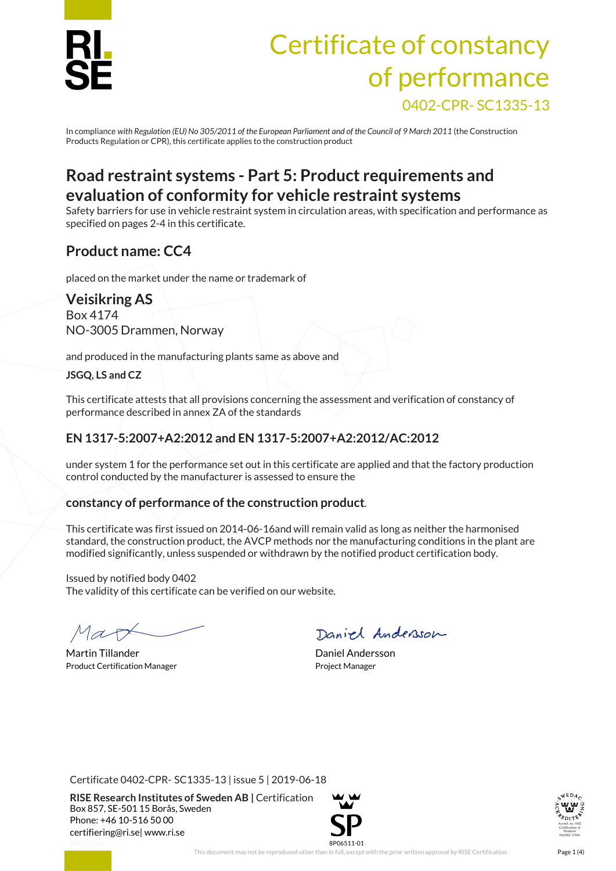

# Certificate of constancy of performance 0402-CPR- SC1335-13

In compliance *with Regulation (EU) No 305/2011 of the European Parliament and of the Council of 9 March 2011* (the Construction Products Regulation or CPR), this certificate applies to the construction product

# **Road restraint systems - Part 5: Product requirements and evaluation of conformity for vehicle restraint systems**

Safety barriers for use in vehicle restraint system in circulation areas, with specification and performance as specified on pages 2-4 in this certificate.

## **Product name: CC4**

placed on the market under the name or trademark of

#### **Veisikring AS**

Box 4174 NO-3005 Drammen, Norway

and produced in the manufacturing plants same as above and

#### **JSGQ, LS and CZ**

This certificate attests that all provisions concerning the assessment and verification of constancy of performance described in annex ZA of the standards

### **EN 1317-5:2007+A2:2012 and EN 1317-5:2007+A2:2012/AC:2012**

under system 1 for the performance set out in this certificate are applied and that the factory production control conducted by the manufacturer is assessed to ensure the

#### **constancy of performance of the construction product**.

This certificate was first issued on 2014-06-16and will remain valid as long as neither the harmonised standard, the construction product, the AVCP methods nor the manufacturing conditions in the plant are modified significantly, unless suspended or withdrawn by the notified product certification body.

Issued by notified body 0402 The validity of this certificate can be verified on our website.

Martin Tillander **Daniel Andersson** Product Certification Manager **Product Certification Manager** Project Manager

Daniel Andersson

Certificate 0402-CPR- SC1335-13 | issue 5 | 2019-06-18

**RISE Research Institutes of Sweden AB |** Certification Box 857, SE-501 15 Borås, Sweden Phone: +46 10-516 50 00 [certifiering@ri.se|](mailto:certifiering@ri.se) www.ri.se



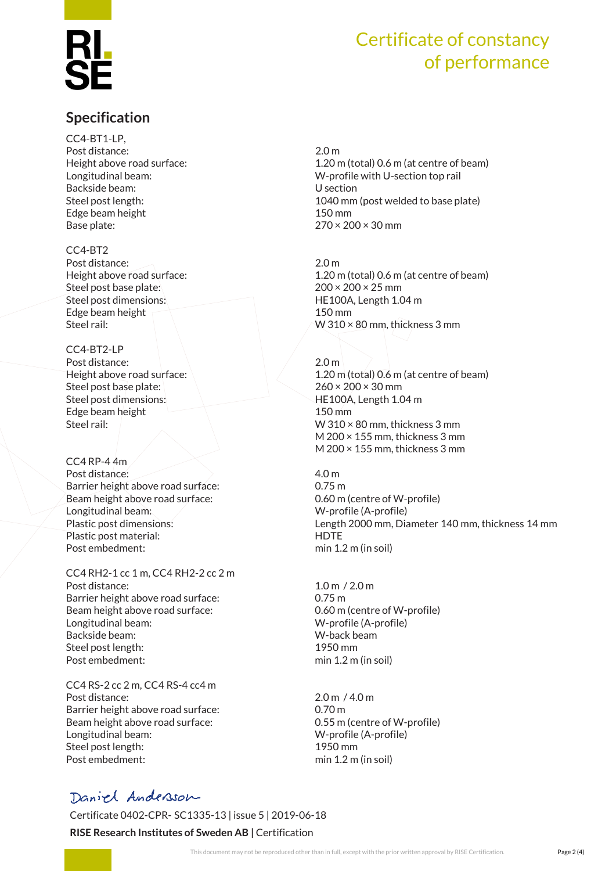# Certificate of constancy of performance

## **Specification**

CC4-BT1-LP, Post distance: 2.0 m Backside beam: U section Edge beam height 150 mm Base plate: 270 × 200 × 30 mm

#### CC4-BT2

Post distance: 2.0 m Steel post base plate: 200 × 200 × 25 mm Steel post dimensions: HE100A, Length 1.04 m Edge beam height 150 mm

CC4-BT2-LP Post distance: 2.0 m Steel post base plate:  $260 \times 200 \times 30$  mm Steel post dimensions: HE100A, Length 1.04 m Edge beam height 150 mm

CC4 RP-4 4m Post distance: 4.0 m Barrier height above road surface: 0.75 m Beam height above road surface: 0.60 m (centre of W-profile) Longitudinal beam: W-profile (A-profile) Plastic post material: HDTE Post embedment: min 1.2 m (in soil)

CC4 RH2-1 cc 1 m, CC4 RH2-2 cc 2 m Post distance: 1.0 m / 2.0 m Barrier height above road surface: 0.75 m Beam height above road surface: 0.60 m (centre of W-profile) Longitudinal beam: W-profile (A-profile) Backside beam: W-back beam Steel post length: 1950 mm Post embedment: min 1.2 m (in soil)

CC4 RS-2 cc 2 m, CC4 RS-4 cc4 m Post distance: 2.0 m / 4.0 m Barrier height above road surface: 0.70 m Beam height above road surface: 0.55 m (centre of W-profile) Longitudinal beam: W-profile (A-profile) Steel post length: 1950 mm Post embedment: min 1.2 m (in soil)

Height above road surface: 1.20 m (total) 0.6 m (at centre of beam) Longitudinal beam: W-profile with U-section top rail Steel post length: 1040 mm (post welded to base plate)

Height above road surface: 1.20 m (total) 0.6 m (at centre of beam) Steel rail: W 310 × 80 mm, thickness 3 mm

Height above road surface: 1.20 m (total) 0.6 m (at centre of beam) Steel rail: W 310 × 80 mm, thickness 3 mm M 200 × 155 mm, thickness 3 mm M 200 × 155 mm, thickness 3 mm

Plastic post dimensions: Length 2000 mm, Diameter 140 mm, thickness 14 mm

## Daniel Andersson

Certificate 0402-CPR- SC1335-13 | issue 5 | 2019-06-18

#### **RISE Research Institutes of Sweden AB |** Certification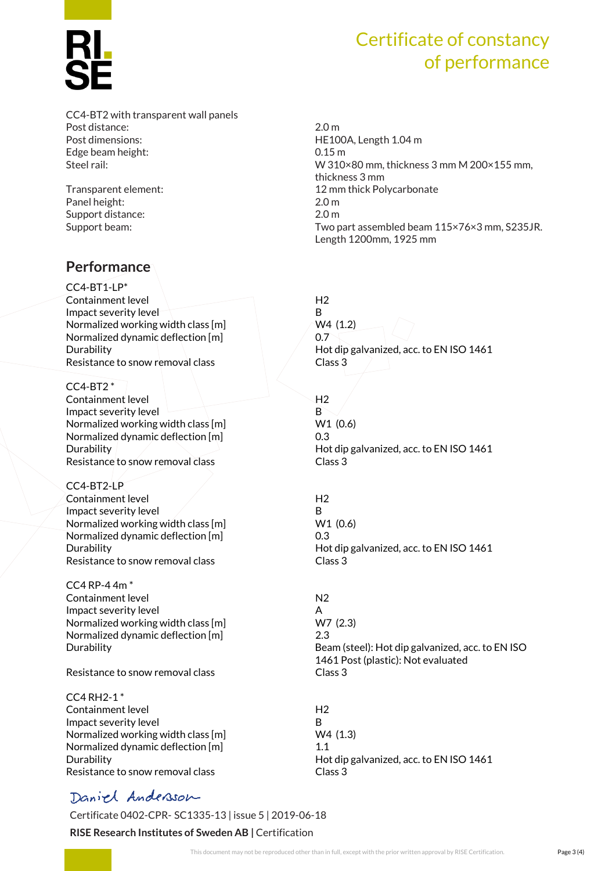#### CC4-BT2 with transparent wall panels Post distance: 2.0 m Post dimensions:  $HE100A, Length 1.04 m$ Edge beam height: 0.15 m

Panel height: 2.0 m Support distance: 2.0 m

## **Performance**

CC4-BT1-LP\* Containment level H2 Impact severity level and the B Normalized working width class  $[m]$  W4 (1.2) Normalized dynamic deflection [m] 6.7 Resistance to snow removal class Class Class 3

 $CC4-BT2*$ Containment level H2 Impact severity level **B** Normalized working width class [m] W1 (0.6) Normalized dynamic deflection [m] 0.3 Resistance to snow removal class example of the Class 3

CC4-BT2-LP Containment level Allen Annual H2 Impact severity level  $\angle$  B Normalized working width class [m] W1 (0.6) Normalized dynamic deflection [m] 0.3 Resistance to snow removal class contracts class 3

CC4 RP-4 4m \* Containment level and the N2 Impact severity level and the set of the A Normalized working width class [m] W7 (2.3) Normalized dynamic deflection [m] 2.3

Resistance to snow removal class example and class 3

CC4 RH2-1 \* Containment level and the H2 Impact severity level and a set of the B Normalized working width class  $[m]$  W4 (1.3) Normalized dynamic deflection [m] 1.1 Resistance to snow removal class and the set of the Class 3

# Certificate of constancy of performance

Steel rail: W 310×80 mm, thickness 3 mm M 200×155 mm, thickness 3 mm Transparent element: 12 mm thick Polycarbonate Support beam: Two part assembled beam 115×76×3 mm, S235JR. Length 1200mm, 1925 mm

Durability **EXECUTE:** Hot dip galvanized, acc. to EN ISO 1461

Durability Hot dip galvanized, acc. to EN ISO 1461

Durability Hot dip galvanized, acc. to EN ISO 1461

Durability Beam (steel): Hot dip galvanized, acc. to EN ISO 1461 Post (plastic): Not evaluated

Durability Hot dip galvanized, acc. to EN ISO 1461

# Daniel Andersson

Certificate 0402-CPR- SC1335-13 | issue 5 | 2019-06-18

**RISE Research Institutes of Sweden AB |** Certification